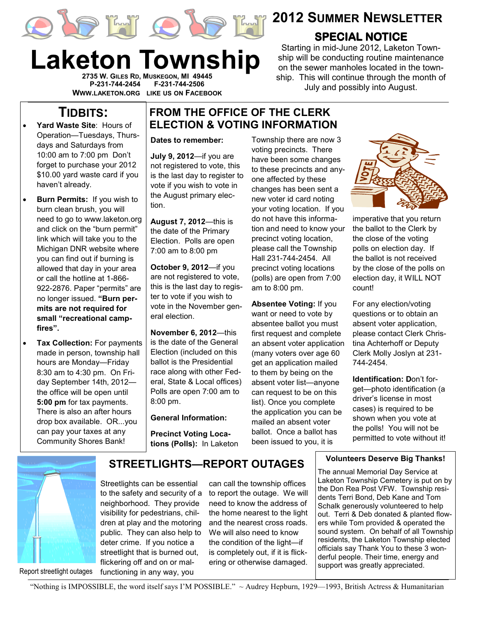



Laketon Township

2735 W. GILES RD, MUSKEGON, MI 49445 P-231-744-2454 F-231-744-2506 WWW.LAKETON.ORG LIKE US ON FACEBOOK



# 2012 SUMMER NEWSLETTER

## **SPECIAL NOTICE**

Starting in mid-June 2012, Laketon Township will be conducting routine maintenance on the sewer manholes located in the township. This will continue through the month of July and possibly into August.

# TIDBITS:

- Yard Waste Site: Hours of Operation—Tuesdays, Thursdays and Saturdays from 10:00 am to 7:00 pm Don't forget to purchase your 2012 \$10.00 yard waste card if you haven't already.
- Burn Permits: If you wish to burn clean brush, you will need to go to www.laketon.org and click on the "burn permit" link which will take you to the Michigan DNR website where you can find out if burning is allowed that day in your area or call the hotline at 1-866- 922-2876. Paper "permits" are no longer issued. "Burn permits are not required for small "recreational campfires".
- Tax Collection: For payments made in person, township hall hours are Monday—Friday 8:30 am to 4:30 pm. On Friday September 14th, 2012 the office will be open until 5:00 pm for tax payments. There is also an after hours drop box available. OR...you can pay your taxes at any Community Shores Bank!

### FROM THE OFFICE OF THE CLERK ELECTION & VOTING INFORMATION

#### Dates to remember:

July 9, 2012—if you are not registered to vote, this is the last day to register to vote if you wish to vote in the August primary election.

August 7, 2012—this is the date of the Primary Election. Polls are open 7:00 am to 8:00 pm

October 9, 2012—if you are not registered to vote, this is the last day to register to vote if you wish to vote in the November general election.

November 6, 2012—this is the date of the General Election (included on this ballot is the Presidential race along with other Federal, State & Local offices) Polls are open 7:00 am to 8:00 pm.

### General Information:

Precinct Voting Locations (Polls): In Laketon Township there are now 3 voting precincts. There have been some changes to these precincts and anyone affected by these changes has been sent a new voter id card noting your voting location. If you do not have this information and need to know your precinct voting location, please call the Township Hall 231-744-2454. All precinct voting locations (polls) are open from 7:00 am to 8:00 pm.

Absentee Voting: If you want or need to vote by absentee ballot you must first request and complete an absent voter application (many voters over age 60 get an application mailed to them by being on the absent voter list—anyone can request to be on this list). Once you complete the application you can be mailed an absent voter ballot. Once a ballot has been issued to you, it is



imperative that you return the ballot to the Clerk by the close of the voting polls on election day. If the ballot is not received by the close of the polls on election day, it WILL NOT count!

For any election/voting questions or to obtain an absent voter application, please contact Clerk Christina Achterhoff or Deputy Clerk Molly Joslyn at 231- 744-2454.

Identification: Don't forget—photo identification (a driver's license in most cases) is required to be shown when you vote at the polls! You will not be permitted to vote without it!

#### Volunteers Deserve Big Thanks!

The annual Memorial Day Service at Laketon Township Cemetery is put on by the Don Rea Post VFW. Township residents Terri Bond, Deb Kane and Tom Schalk generously volunteered to help out. Terri & Deb donated & planted flowers while Tom provided & operated the sound system. On behalf of all Township residents, the Laketon Township elected officials say Thank You to these 3 wonderful people. Their time, energy and support was greatly appreciated.

Report streetlight outages

STREETLIGHTS—REPORT OUTAGES

Streetlights can be essential to the safety and security of a neighborhood. They provide visibility for pedestrians, children at play and the motoring public. They can also help to deter crime. If you notice a streetlight that is burned out, flickering off and on or malfunctioning in any way, you

can call the township offices to report the outage. We will need to know the address of the home nearest to the light and the nearest cross roads. We will also need to know the condition of the light—if is completely out, if it is flickering or otherwise damaged.